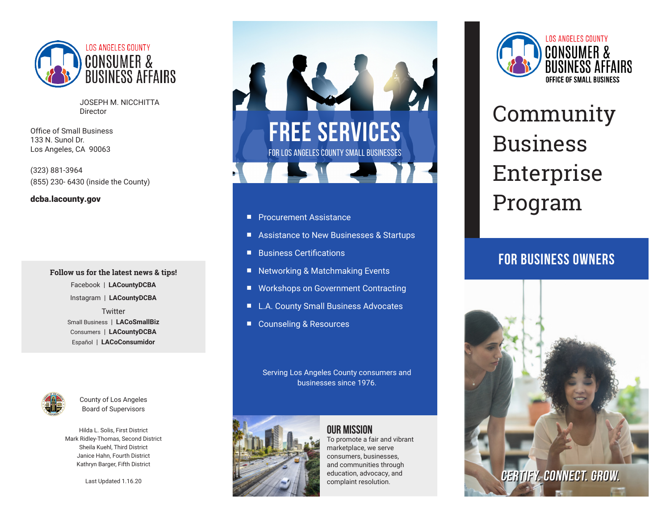

JOSEPH M. NICCHITTA Director

Office of Small Business 133 N. Sunol Dr. Los Angeles, CA 90063

(323) 881-3964 (855) 230- 6430 (inside the County)

#### dcba.lacounty.gov

**Follow us for the latest news & tips!** Facebook | **LACountyDCBA** Instagram | **LACountyDCBA**

> **Twitter** Small Business | **LACoSmallBiz** Consumers | **LACountyDCBA** Español | **LACoConsumidor**



County of Los Angeles Board of Supervisors

Hilda L. Solis, First District Mark Ridley-Thomas, Second District Sheila Kuehl, Third District Janice Hahn, Fourth District Kathryn Barger, Fifth District

Last Updated 1.16.20



- **n** Procurement Assistance
- Assistance to New Businesses & Startups
- Business Certifications
- Networking & Matchmaking Events
- Workshops on Government Contracting
- L.A. County Small Business Advocates
- Counseling & Resources

Serving Los Angeles County consumers and businesses since 1976.



#### **Our Mission** To promote a fair and vibrant marketplace, we serve consumers, businesses, and communities through education, advocacy, and complaint resolution.



# Community Business Enterprise Program

## FOR BUSINESS OWNERS